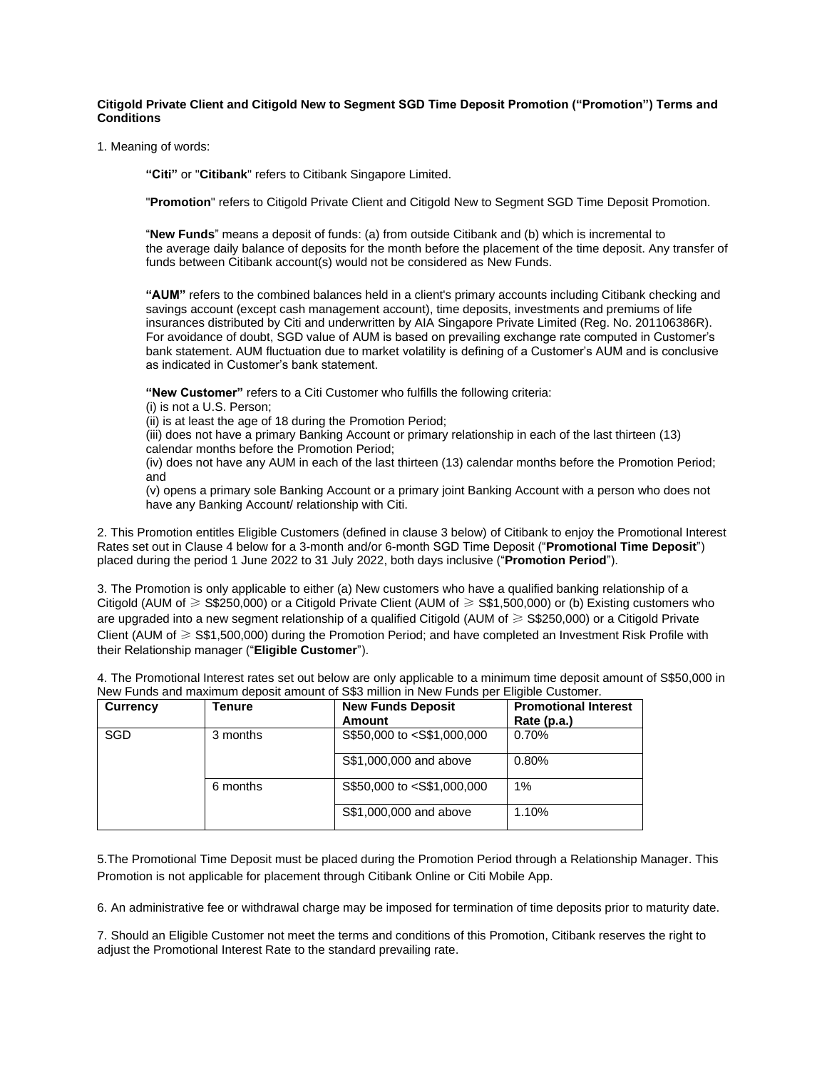**Citigold Private Client and Citigold New to Segment SGD Time Deposit Promotion ("Promotion") Terms and Conditions** 

1. Meaning of words:

**"Citi"** or "**Citibank**" refers to Citibank Singapore Limited.

"**Promotion**" refers to Citigold Private Client and Citigold New to Segment SGD Time Deposit Promotion.

"**New Funds**" means a deposit of funds: (a) from outside Citibank and (b) which is incremental to the average daily balance of deposits for the month before the placement of the time deposit. Any transfer of funds between Citibank account(s) would not be considered as New Funds.

**"AUM"** refers to the combined balances held in a client's primary accounts including Citibank checking and savings account (except cash management account), time deposits, investments and premiums of life insurances distributed by Citi and underwritten by AIA Singapore Private Limited (Reg. No. 201106386R). For avoidance of doubt, SGD value of AUM is based on prevailing exchange rate computed in Customer's bank statement. AUM fluctuation due to market volatility is defining of a Customer's AUM and is conclusive as indicated in Customer's bank statement.

**"New Customer"** refers to a Citi Customer who fulfills the following criteria:

(i) is not a U.S. Person;

(ii) is at least the age of 18 during the Promotion Period;

(iii) does not have a primary Banking Account or primary relationship in each of the last thirteen (13) calendar months before the Promotion Period;

(iv) does not have any AUM in each of the last thirteen (13) calendar months before the Promotion Period; and

(v) opens a primary sole Banking Account or a primary joint Banking Account with a person who does not have any Banking Account/ relationship with Citi.

2. This Promotion entitles Eligible Customers (defined in clause 3 below) of Citibank to enjoy the Promotional Interest Rates set out in Clause 4 below for a 3-month and/or 6-month SGD Time Deposit ("**Promotional Time Deposit**") placed during the period 1 June 2022 to 31 July 2022, both days inclusive ("**Promotion Period**").

3. The Promotion is only applicable to either (a) New customers who have a qualified banking relationship of a Citigold (AUM of ≥ S\$250,000) or a Citigold Private Client (AUM of ≥ S\$1,500,000) or (b) Existing customers who are upgraded into a new segment relationship of a qualified Citigold (AUM of ≥ S\$250,000) or a Citigold Private Client (AUM of ≥ S\$1,500,000) during the Promotion Period; and have completed an Investment Risk Profile with their Relationship manager ("**Eligible Customer**").

4. The Promotional Interest rates set out below are only applicable to a minimum time deposit amount of S\$50,000 in New Funds and maximum deposit amount of S\$3 million in New Funds per Eligible Customer.

| <b>Currency</b> | Tenure   | <b>New Funds Deposit</b>                                         | <b>Promotional Interest</b> |
|-----------------|----------|------------------------------------------------------------------|-----------------------------|
|                 |          | <b>Amount</b>                                                    | Rate (p.a.)                 |
| <b>SGD</b>      | 3 months | S\$50,000 to <s\$1,000,000< td=""><td>0.70%</td></s\$1,000,000<> | 0.70%                       |
|                 |          | S\$1,000,000 and above                                           | 0.80%                       |
|                 | 6 months | S\$50,000 to <s\$1,000,000< td=""><td>1%</td></s\$1,000,000<>    | 1%                          |
|                 |          | S\$1,000,000 and above                                           | 1.10%                       |

5.The Promotional Time Deposit must be placed during the Promotion Period through a Relationship Manager. This Promotion is not applicable for placement through Citibank Online or Citi Mobile App.

6. An administrative fee or withdrawal charge may be imposed for termination of time deposits prior to maturity date.

7. Should an Eligible Customer not meet the terms and conditions of this Promotion, Citibank reserves the right to adjust the Promotional Interest Rate to the standard prevailing rate.